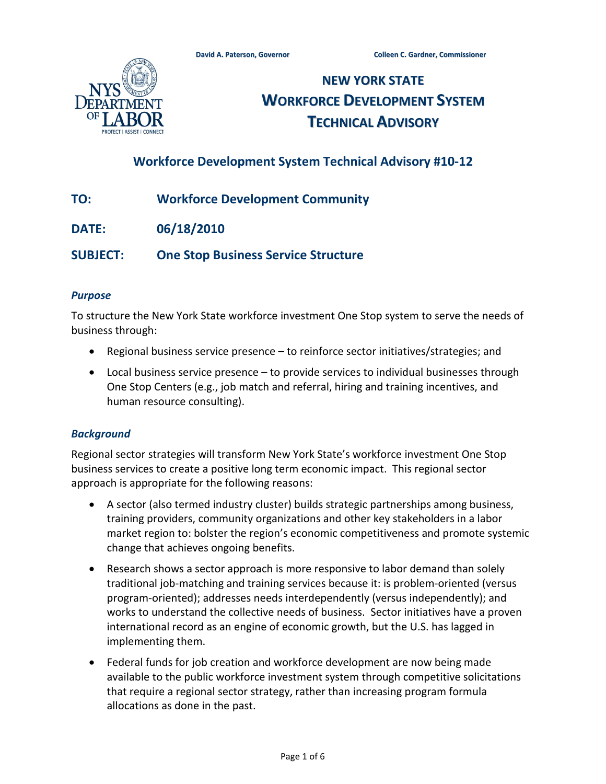

# **NEW YORK STATE WORKFORCE DEVELOPMENT SYSTEM TECHNICAL ADVISORY**

## **Workforce Development System Technical Advisory #10-12**

- **TO: Workforce Development Community**
- **DATE: 06/18/2010**

**SUBJECT: One Stop Business Service Structure**

#### *Purpose*

To structure the New York State workforce investment One Stop system to serve the needs of business through:

- Regional business service presence to reinforce sector initiatives/strategies; and
- Local business service presence to provide services to individual businesses through One Stop Centers (e.g., job match and referral, hiring and training incentives, and human resource consulting).

#### *Background*

Regional sector strategies will transform New York State's workforce investment One Stop business services to create a positive long term economic impact. This regional sector approach is appropriate for the following reasons:

- A sector (also termed industry cluster) builds strategic partnerships among business, training providers, community organizations and other key stakeholders in a labor market region to: bolster the region's economic competitiveness and promote systemic change that achieves ongoing benefits.
- Research shows a sector approach is more responsive to labor demand than solely traditional job-matching and training services because it: is problem-oriented (versus program-oriented); addresses needs interdependently (versus independently); and works to understand the collective needs of business. Sector initiatives have a proven international record as an engine of economic growth, but the U.S. has lagged in implementing them.
- Federal funds for job creation and workforce development are now being made available to the public workforce investment system through competitive solicitations that require a regional sector strategy, rather than increasing program formula allocations as done in the past.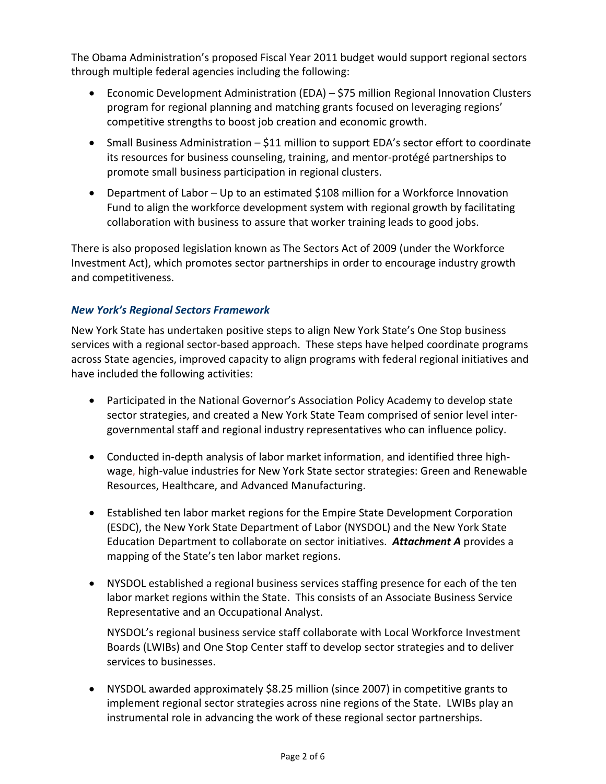The Obama Administration's proposed Fiscal Year 2011 budget would support regional sectors through multiple federal agencies including the following:

- Economic Development Administration (EDA) \$75 million Regional Innovation Clusters program for regional planning and matching grants focused on leveraging regions' competitive strengths to boost job creation and economic growth.
- Small Business Administration \$11 million to support EDA's sector effort to coordinate its resources for business counseling, training, and mentor-protégé partnerships to promote small business participation in regional clusters.
- Department of Labor Up to an estimated \$108 million for a Workforce Innovation Fund to align the workforce development system with regional growth by facilitating collaboration with business to assure that worker training leads to good jobs.

There is also proposed legislation known as The Sectors Act of 2009 (under the Workforce Investment Act), which promotes sector partnerships in order to encourage industry growth and competitiveness.

## *New York's Regional Sectors Framework*

New York State has undertaken positive steps to align New York State's One Stop business services with a regional sector-based approach. These steps have helped coordinate programs across State agencies, improved capacity to align programs with federal regional initiatives and have included the following activities:

- Participated in the National Governor's Association Policy Academy to develop state sector strategies, and created a New York State Team comprised of senior level intergovernmental staff and regional industry representatives who can influence policy.
- Conducted in-depth analysis of labor market information, and identified three highwage, high-value industries for New York State sector strategies: Green and Renewable Resources, Healthcare, and Advanced Manufacturing.
- Established ten labor market regions for the Empire State Development Corporation (ESDC), the New York State Department of Labor (NYSDOL) and the New York State Education Department to collaborate on sector initiatives. *Attachment A* provides a mapping of the State's ten labor market regions.
- NYSDOL established a regional business services staffing presence for each of the ten labor market regions within the State. This consists of an Associate Business Service Representative and an Occupational Analyst.

NYSDOL's regional business service staff collaborate with Local Workforce Investment Boards (LWIBs) and One Stop Center staff to develop sector strategies and to deliver services to businesses.

• NYSDOL awarded approximately \$8.25 million (since 2007) in competitive grants to implement regional sector strategies across nine regions of the State. LWIBs play an instrumental role in advancing the work of these regional sector partnerships.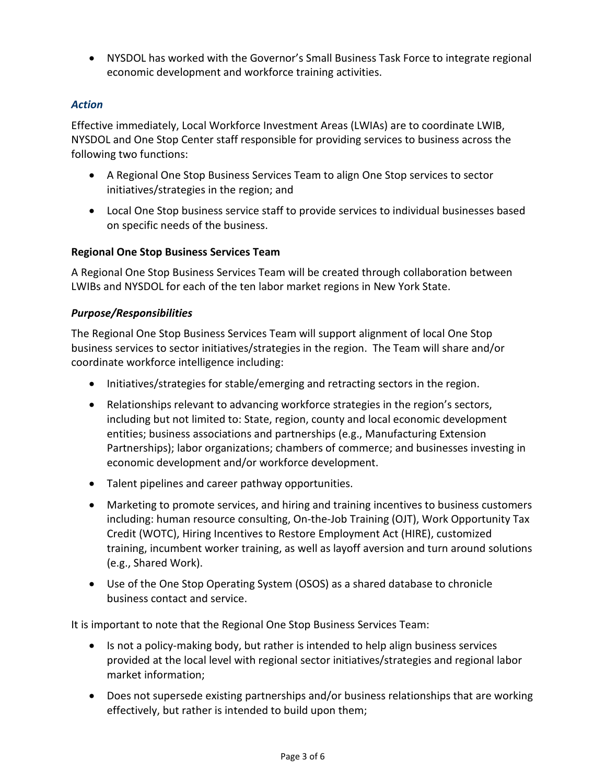• NYSDOL has worked with the Governor's Small Business Task Force to integrate regional economic development and workforce training activities.

## *Action*

Effective immediately, Local Workforce Investment Areas (LWIAs) are to coordinate LWIB, NYSDOL and One Stop Center staff responsible for providing services to business across the following two functions:

- A Regional One Stop Business Services Team to align One Stop services to sector initiatives/strategies in the region; and
- Local One Stop business service staff to provide services to individual businesses based on specific needs of the business.

#### **Regional One Stop Business Services Team**

A Regional One Stop Business Services Team will be created through collaboration between LWIBs and NYSDOL for each of the ten labor market regions in New York State.

## *Purpose/Responsibilities*

The Regional One Stop Business Services Team will support alignment of local One Stop business services to sector initiatives/strategies in the region. The Team will share and/or coordinate workforce intelligence including:

- Initiatives/strategies for stable/emerging and retracting sectors in the region.
- Relationships relevant to advancing workforce strategies in the region's sectors, including but not limited to: State, region, county and local economic development entities; business associations and partnerships (e.g., Manufacturing Extension Partnerships); labor organizations; chambers of commerce; and businesses investing in economic development and/or workforce development.
- Talent pipelines and career pathway opportunities.
- Marketing to promote services, and hiring and training incentives to business customers including: human resource consulting, On-the-Job Training (OJT), Work Opportunity Tax Credit (WOTC), Hiring Incentives to Restore Employment Act (HIRE), customized training, incumbent worker training, as well as layoff aversion and turn around solutions (e.g., Shared Work).
- Use of the One Stop Operating System (OSOS) as a shared database to chronicle business contact and service.

It is important to note that the Regional One Stop Business Services Team:

- Is not a policy-making body, but rather is intended to help align business services provided at the local level with regional sector initiatives/strategies and regional labor market information;
- Does not supersede existing partnerships and/or business relationships that are working effectively, but rather is intended to build upon them;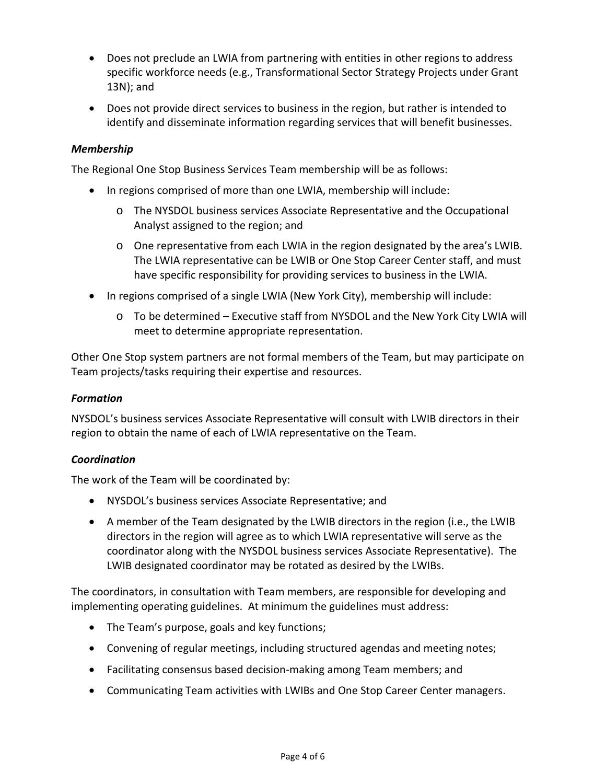- Does not preclude an LWIA from partnering with entities in other regions to address specific workforce needs (e.g., Transformational Sector Strategy Projects under Grant 13N); and
- Does not provide direct services to business in the region, but rather is intended to identify and disseminate information regarding services that will benefit businesses.

## *Membership*

The Regional One Stop Business Services Team membership will be as follows:

- In regions comprised of more than one LWIA, membership will include:
	- o The NYSDOL business services Associate Representative and the Occupational Analyst assigned to the region; and
	- o One representative from each LWIA in the region designated by the area's LWIB. The LWIA representative can be LWIB or One Stop Career Center staff, and must have specific responsibility for providing services to business in the LWIA.
- In regions comprised of a single LWIA (New York City), membership will include:
	- o To be determined Executive staff from NYSDOL and the New York City LWIA will meet to determine appropriate representation.

Other One Stop system partners are not formal members of the Team, but may participate on Team projects/tasks requiring their expertise and resources.

#### *Formation*

NYSDOL's business services Associate Representative will consult with LWIB directors in their region to obtain the name of each of LWIA representative on the Team.

#### *Coordination*

The work of the Team will be coordinated by:

- NYSDOL's business services Associate Representative; and
- A member of the Team designated by the LWIB directors in the region (i.e., the LWIB directors in the region will agree as to which LWIA representative will serve as the coordinator along with the NYSDOL business services Associate Representative). The LWIB designated coordinator may be rotated as desired by the LWIBs.

The coordinators, in consultation with Team members, are responsible for developing and implementing operating guidelines. At minimum the guidelines must address:

- The Team's purpose, goals and key functions;
- Convening of regular meetings, including structured agendas and meeting notes;
- Facilitating consensus based decision-making among Team members; and
- Communicating Team activities with LWIBs and One Stop Career Center managers.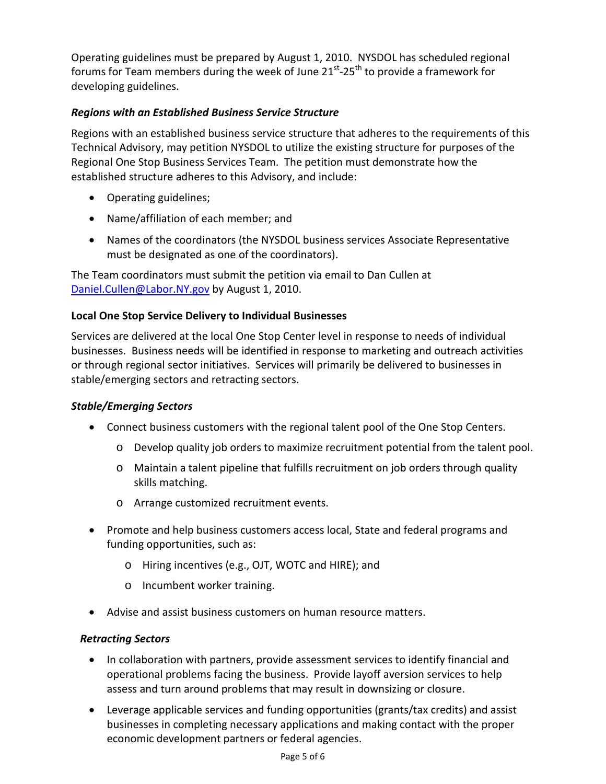Operating guidelines must be prepared by August 1, 2010. NYSDOL has scheduled regional forums for Team members during the week of June  $21<sup>st</sup>-25<sup>th</sup>$  to provide a framework for developing guidelines.

## *Regions with an Established Business Service Structure*

Regions with an established business service structure that adheres to the requirements of this Technical Advisory, may petition NYSDOL to utilize the existing structure for purposes of the Regional One Stop Business Services Team. The petition must demonstrate how the established structure adheres to this Advisory, and include:

- Operating guidelines;
- Name/affiliation of each member; and
- Names of the coordinators (the NYSDOL business services Associate Representative must be designated as one of the coordinators).

The Team coordinators must submit the petition via email to Dan Cullen at [Daniel.Cullen@Labor.NY.gov](mailto:Daniel.Cullen@Labor.NY.gov) by August 1, 2010.

## **Local One Stop Service Delivery to Individual Businesses**

Services are delivered at the local One Stop Center level in response to needs of individual businesses. Business needs will be identified in response to marketing and outreach activities or through regional sector initiatives. Services will primarily be delivered to businesses in stable/emerging sectors and retracting sectors.

## *Stable/Emerging Sectors*

- Connect business customers with the regional talent pool of the One Stop Centers.
	- o Develop quality job orders to maximize recruitment potential from the talent pool.
	- o Maintain a talent pipeline that fulfills recruitment on job orders through quality skills matching.
	- o Arrange customized recruitment events.
- Promote and help business customers access local, State and federal programs and funding opportunities, such as:
	- o Hiring incentives (e.g., OJT, WOTC and HIRE); and
	- o Incumbent worker training.
- Advise and assist business customers on human resource matters.

## *Retracting Sectors*

- In collaboration with partners, provide assessment services to identify financial and operational problems facing the business. Provide layoff aversion services to help assess and turn around problems that may result in downsizing or closure.
- Leverage applicable services and funding opportunities (grants/tax credits) and assist businesses in completing necessary applications and making contact with the proper economic development partners or federal agencies.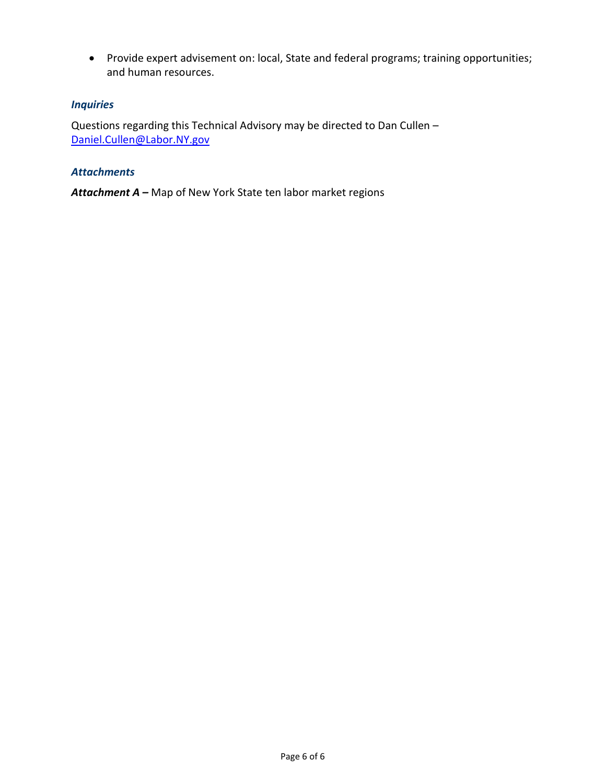• Provide expert advisement on: local, State and federal programs; training opportunities; and human resources.

## *Inquiries*

Questions regarding this Technical Advisory may be directed to Dan Cullen – [Daniel.Cullen@Labor.NY.gov](mailto:Daniel.Cullen@Labor.NY.gov)

#### *Attachments*

*Attachment A –* Map of New York [State ten labor market regions](#page-6-0)